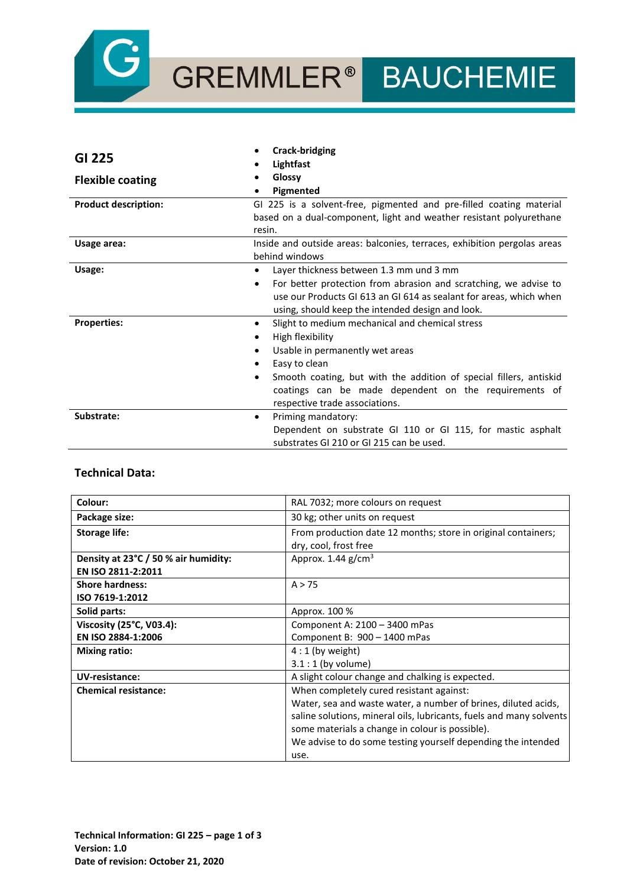

# GREMMLER® BAUCHEMIE

| GI 225                      | <b>Crack-bridging</b>                                                    |
|-----------------------------|--------------------------------------------------------------------------|
|                             | Lightfast                                                                |
| <b>Flexible coating</b>     | Glossy                                                                   |
|                             | Pigmented                                                                |
| <b>Product description:</b> | GI 225 is a solvent-free, pigmented and pre-filled coating material      |
|                             | based on a dual-component, light and weather resistant polyurethane      |
|                             | resin.                                                                   |
| Usage area:                 | Inside and outside areas: balconies, terraces, exhibition pergolas areas |
|                             | behind windows                                                           |
| Usage:                      | Layer thickness between 1.3 mm und 3 mm<br>$\bullet$                     |
|                             | For better protection from abrasion and scratching, we advise to<br>٠    |
|                             | use our Products GI 613 an GI 614 as sealant for areas, which when       |
|                             | using, should keep the intended design and look.                         |
| <b>Properties:</b>          | Slight to medium mechanical and chemical stress<br>$\bullet$             |
|                             | High flexibility                                                         |
|                             | Usable in permanently wet areas                                          |
|                             | Easy to clean                                                            |
|                             | Smooth coating, but with the addition of special fillers, antiskid       |
|                             | coatings can be made dependent on the requirements of                    |
|                             | respective trade associations.                                           |
| Substrate:                  | Priming mandatory:<br>$\bullet$                                          |
|                             | Dependent on substrate GI 110 or GI 115, for mastic asphalt              |
|                             | substrates GI 210 or GI 215 can be used.                                 |

#### **Technical Data:**

| Colour:                              | RAL 7032; more colours on request                                   |
|--------------------------------------|---------------------------------------------------------------------|
| Package size:                        | 30 kg; other units on request                                       |
| <b>Storage life:</b>                 | From production date 12 months; store in original containers;       |
|                                      | dry, cool, frost free                                               |
| Density at 23°C / 50 % air humidity: | Approx. $1.44$ g/cm <sup>3</sup>                                    |
| EN ISO 2811-2:2011                   |                                                                     |
| <b>Shore hardness:</b>               | A > 75                                                              |
| ISO 7619-1:2012                      |                                                                     |
| Solid parts:                         | Approx. 100 %                                                       |
| Viscosity (25°C, V03.4):             | Component A: 2100 - 3400 mPas                                       |
| EN ISO 2884-1:2006                   | Component B: 900 - 1400 mPas                                        |
| <b>Mixing ratio:</b>                 | $4:1$ (by weight)                                                   |
|                                      | $3.1:1$ (by volume)                                                 |
| <b>UV-resistance:</b>                | A slight colour change and chalking is expected.                    |
| <b>Chemical resistance:</b>          | When completely cured resistant against:                            |
|                                      | Water, sea and waste water, a number of brines, diluted acids,      |
|                                      | saline solutions, mineral oils, lubricants, fuels and many solvents |
|                                      | some materials a change in colour is possible).                     |
|                                      | We advise to do some testing yourself depending the intended        |
|                                      | use.                                                                |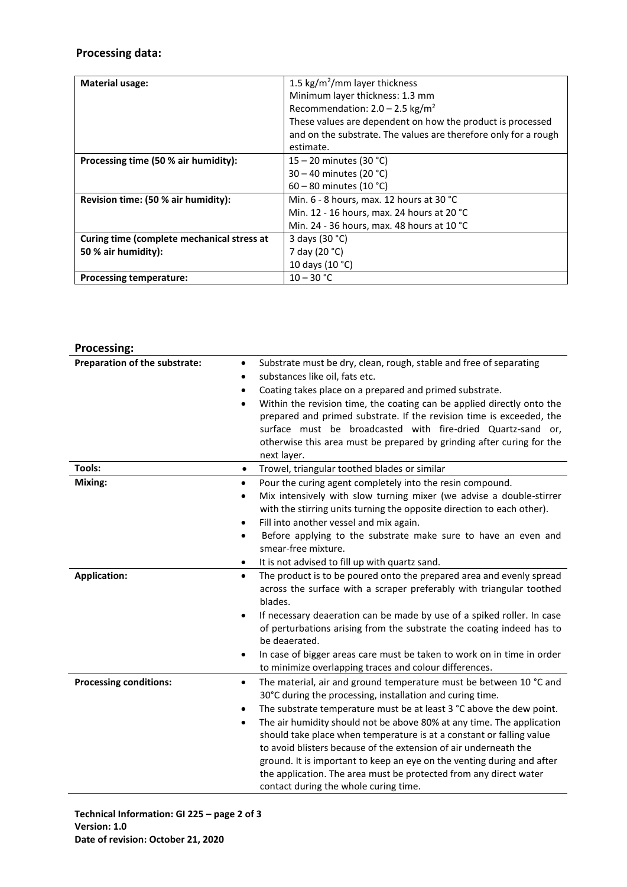# **Processing data:**

| <b>Material usage:</b>                     | 1.5 kg/m <sup>2</sup> /mm layer thickness                       |
|--------------------------------------------|-----------------------------------------------------------------|
|                                            | Minimum layer thickness: 1.3 mm                                 |
|                                            | Recommendation: $2.0 - 2.5$ kg/m <sup>2</sup>                   |
|                                            | These values are dependent on how the product is processed      |
|                                            | and on the substrate. The values are therefore only for a rough |
|                                            | estimate.                                                       |
| Processing time (50 % air humidity):       | 15 – 20 minutes (30 °C)                                         |
|                                            | $30 - 40$ minutes (20 °C)                                       |
|                                            | 60 – 80 minutes (10 °C)                                         |
| Revision time: (50 % air humidity):        | Min. $6 - 8$ hours, max. 12 hours at 30 °C                      |
|                                            | Min. 12 - 16 hours, max. 24 hours at 20 °C                      |
|                                            | Min. 24 - 36 hours, max. 48 hours at 10 $^{\circ}$ C            |
| Curing time (complete mechanical stress at | 3 days (30 °C)                                                  |
| 50 % air humidity):                        | 7 day (20 °C)                                                   |
|                                            | 10 days (10 °C)                                                 |
| <b>Processing temperature:</b>             | $10 - 30 °C$                                                    |

# **Processing:**

| Preparation of the substrate:<br>$\bullet$<br>$\bullet$<br>$\bullet$ | Substrate must be dry, clean, rough, stable and free of separating<br>substances like oil, fats etc.<br>Coating takes place on a prepared and primed substrate.                                                                                                                                                                                          |
|----------------------------------------------------------------------|----------------------------------------------------------------------------------------------------------------------------------------------------------------------------------------------------------------------------------------------------------------------------------------------------------------------------------------------------------|
| $\bullet$                                                            | Within the revision time, the coating can be applied directly onto the<br>prepared and primed substrate. If the revision time is exceeded, the<br>surface must be broadcasted with fire-dried Quartz-sand or,<br>otherwise this area must be prepared by grinding after curing for the<br>next layer.                                                    |
| Tools:<br>$\bullet$                                                  | Trowel, triangular toothed blades or similar                                                                                                                                                                                                                                                                                                             |
| Mixing:<br>$\bullet$<br>٠<br>$\bullet$                               | Pour the curing agent completely into the resin compound.<br>Mix intensively with slow turning mixer (we advise a double-stirrer<br>with the stirring units turning the opposite direction to each other).<br>Fill into another vessel and mix again.                                                                                                    |
| $\bullet$<br>٠                                                       | Before applying to the substrate make sure to have an even and<br>smear-free mixture.<br>It is not advised to fill up with quartz sand.                                                                                                                                                                                                                  |
| <b>Application:</b><br>$\bullet$<br>$\bullet$                        | The product is to be poured onto the prepared area and evenly spread<br>across the surface with a scraper preferably with triangular toothed<br>blades.<br>If necessary deaeration can be made by use of a spiked roller. In case                                                                                                                        |
|                                                                      | of perturbations arising from the substrate the coating indeed has to<br>be deaerated.                                                                                                                                                                                                                                                                   |
| $\bullet$                                                            | In case of bigger areas care must be taken to work on in time in order<br>to minimize overlapping traces and colour differences.                                                                                                                                                                                                                         |
| <b>Processing conditions:</b><br>٠<br>$\bullet$<br>$\bullet$         | The material, air and ground temperature must be between 10 °C and<br>30°C during the processing, installation and curing time.<br>The substrate temperature must be at least 3 °C above the dew point.<br>The air humidity should not be above 80% at any time. The application<br>should take place when temperature is at a constant or falling value |
|                                                                      | to avoid blisters because of the extension of air underneath the<br>ground. It is important to keep an eye on the venting during and after<br>the application. The area must be protected from any direct water<br>contact during the whole curing time.                                                                                                 |

**Technical Information: GI 225 – page 2 of 3 Version: 1.0 Date of revision: October 21, 2020**